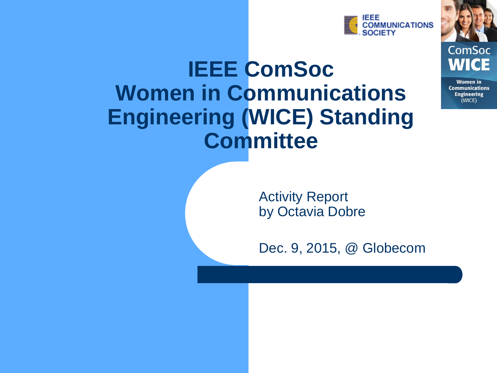

ComSoc

**Women** in **Communications Engineering** (WICE)

### **IEEE ComSoc Women in Communications Engineering (WICE) Standing Committee**

Activity Report by Octavia Dobre

Dec. 9, 2015, @ Globecom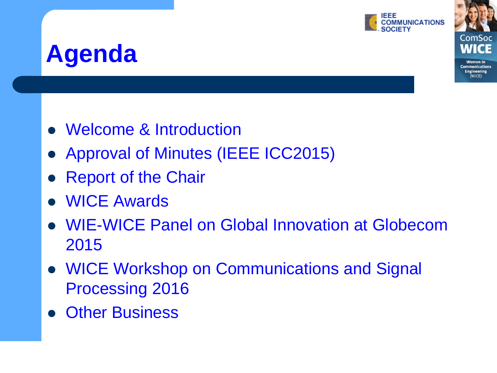

**Women** in **Communications Ingineering** (WICF)

### **Agenda**

- Welcome & Introduction
- Approval of Minutes (IEEE ICC2015)
- Report of the Chair
- WICE Awards
- WIE-WICE Panel on Global Innovation at Globecom 2015
- WICE Workshop on Communications and Signal Processing 2016
- Other Business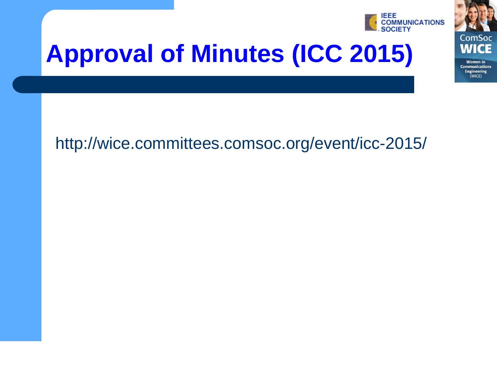

# **Approval of Minutes (ICC 2015)**



 $(WICE)$ 

#### http://wice.committees.comsoc.org/event/icc-2015/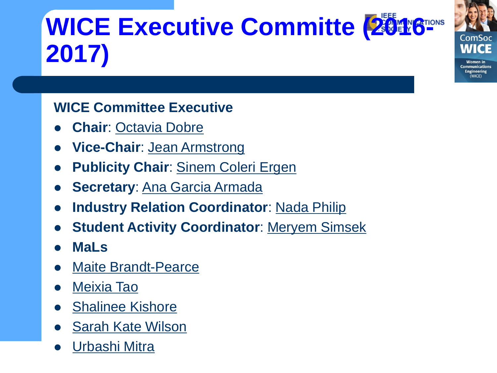# **WICE Executive Committe (2016-10015 2017)**

**Women** in **Communications Ingineering** (WICF)

#### **WICE Committee Executive**

- **Chair**: [Octavia Dobre](http://www.engr.mun.ca/~dobre/)
- **Vice-Chair**: Jean Armstrong
- **Publicity Chair: [Sinem Coleri Ergen](http://home.ku.edu.tr/~sergen/)**
- **Secretary**: [Ana Garcia Armada](http://agarcia.webs.tsc.uc3m.es)
- **Industry Relation Coordinator**: [Nada Philip](http://sec.kingston.ac.uk/about-SEC/people/academic/view_profile.php?id=1262)
- **Student Activity Coordinator**: [Meryem Simsek](https://mns.ifn.et.tu-dresden.de/Chair/Pages/Staff.aspx?get=172)
- **MaLs**
- [Maite Brandt-Pearce](http://www.ece.virginia.edu/faculty/brandt-pearce.html)
- [Meixia Tao](http://iwct.sjtu.edu.cn/Personal/mxtao/)
- [Shalinee Kishore](http://www.ece.lehigh.edu/~skishore/)
- [Sarah Kate Wilson](http://www.scu.edu/engineering/ee/people/wilson.cfm)
- [Urbashi Mitra](http://csi.usc.edu/~ubli/ubli.html)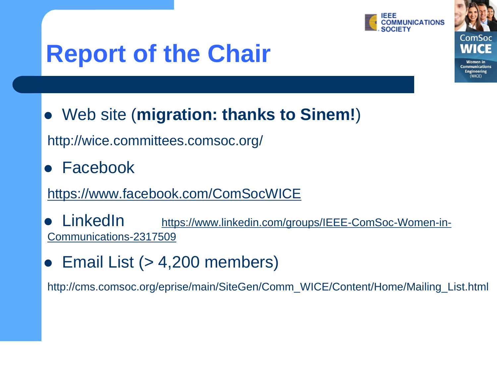

Communications **Engineering** 

# **Report of the Chair**

Web site (**migration: thanks to Sinem!**)

http://wice.committees.comsoc.org/

Facebook

#### <https://www.facebook.com/ComSocWICE>

- LinkedIn [https://www.linkedin.com/groups/IEEE-ComSoc-Women-in-](https://www.linkedin.com/groups/IEEE-ComSoc-Women-in-Communications-2317509)[Communications-2317509](https://www.linkedin.com/groups/IEEE-ComSoc-Women-in-Communications-2317509)
- Email List (> 4,200 members)

http://cms.comsoc.org/eprise/main/SiteGen/Comm\_WICE/Content/Home/Mailing\_List.html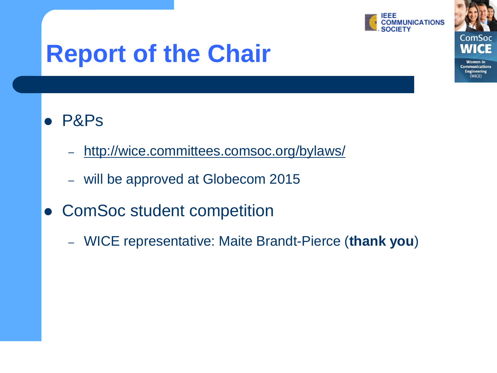

**Women** in **Communications Engineering** (WICE)

## **Report of the Chair**

#### P&Ps

- <http://wice.committees.comsoc.org/bylaws/>
- will be approved at Globecom 2015
- ComSoc student competition
	- WICE representative: Maite Brandt-Pierce (**thank you**)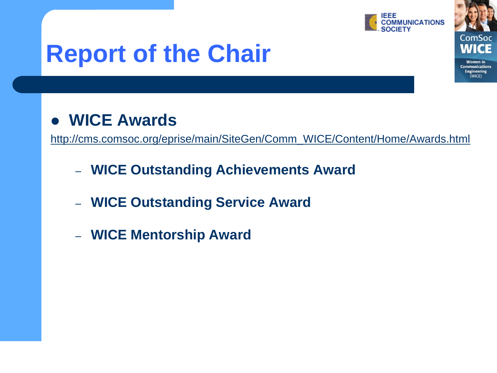

**Women** in **Communications Engineering** (WICE)

## **Report of the Chair**

#### **WICE Awards**

[http://cms.comsoc.org/eprise/main/SiteGen/Comm\\_WICE/Content/Home/Awards.html](http://cms.comsoc.org/eprise/main/SiteGen/Comm_WICE/Content/Home/Awards.html)

- **WICE Outstanding Achievements Award**
- **WICE Outstanding Service Award**
- **WICE Mentorship Award**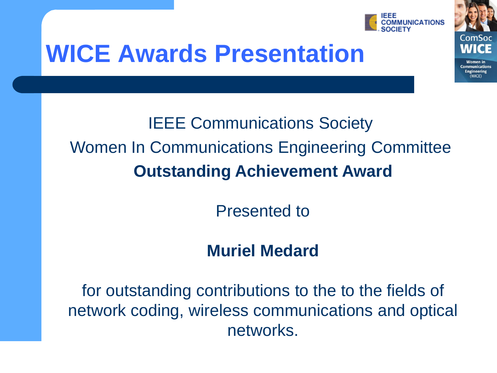

**Communications Ingineering** 

## **WICE Awards Presentation**

### IEEE Communications Society Women In Communications Engineering Committee **Outstanding Achievement Award**

Presented to

#### **Muriel Medard**

for outstanding contributions to the to the fields of network coding, wireless communications and optical networks.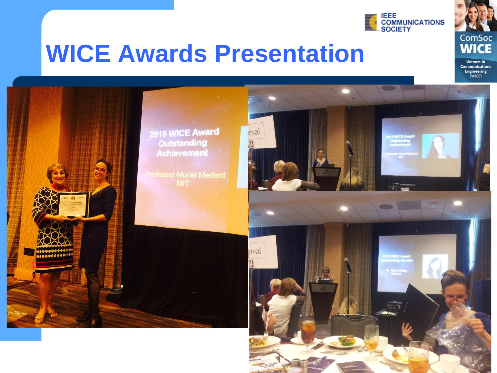

**ComSoc WICE** 

## **WICE Awards Presentation**

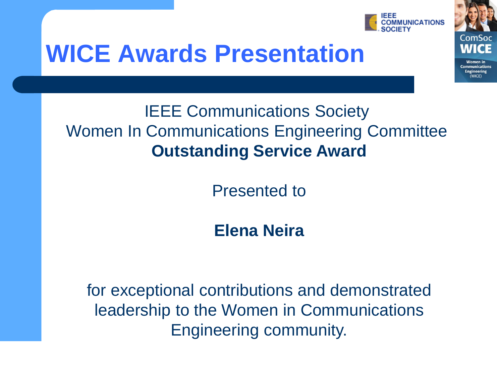

Women in **Communications Ingineering** 

## **WICE Awards Presentation**

#### IEEE Communications Society Women In Communications Engineering Committee **Outstanding Service Award**

Presented to

**Elena Neira**

for exceptional contributions and demonstrated leadership to the Women in Communications Engineering community.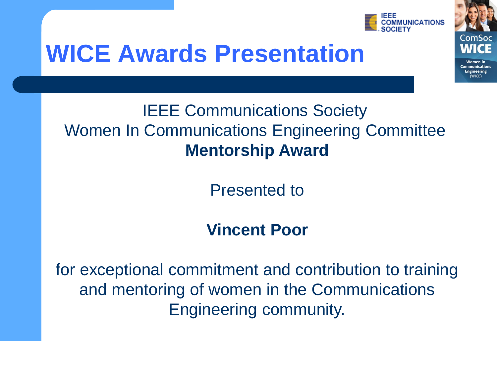

Women in **Communications Ingineering** 

## **WICE Awards Presentation**

#### IEEE Communications Society Women In Communications Engineering Committee **Mentorship Award**

Presented to

#### **Vincent Poor**

for exceptional commitment and contribution to training and mentoring of women in the Communications Engineering community.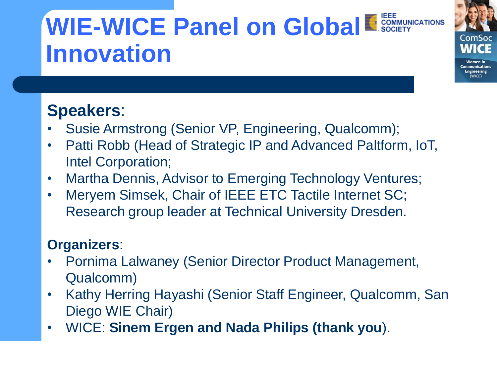## **WIE-WICE Panel on Global E SOCIETY Innovation**

**Communications Ingineering** 

#### **Speakers**:

- Susie Armstrong (Senior VP, Engineering, Qualcomm);
- Patti Robb (Head of Strategic IP and Advanced Paltform, IoT, Intel Corporation;
- Martha Dennis, Advisor to Emerging Technology Ventures;
- Meryem Simsek, Chair of IEEE ETC Tactile Internet SC; Research group leader at Technical University Dresden.

#### **Organizers**:

- Pornima Lalwaney (Senior Director Product Management, Qualcomm)
- Kathy Herring Hayashi (Senior Staff Engineer, Qualcomm, San Diego WIE Chair)
- WICE: **Sinem Ergen and Nada Philips (thank you**).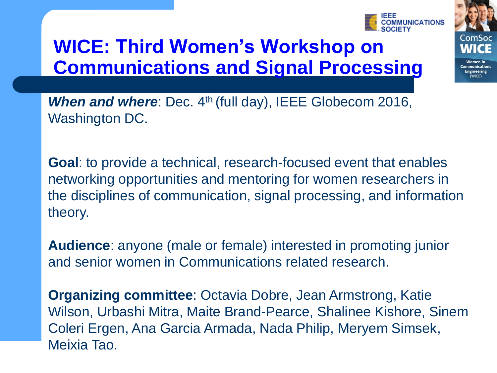#### **WICE: Third Women's Workshop on Communications and Signal Processing**

*When and where*: Dec. 4<sup>th</sup> (full day), IEEE Globecom 2016,

Washington DC.

**Goal**: to provide a technical, research-focused event that enables networking opportunities and mentoring for women researchers in the disciplines of communication, signal processing, and information theory.

**Audience**: anyone (male or female) interested in promoting junior and senior women in Communications related research.

**Organizing committee**: Octavia Dobre, Jean Armstrong, Katie Wilson, Urbashi Mitra, Maite Brand-Pearce, Shalinee Kishore, Sinem Coleri Ergen, Ana Garcia Armada, Nada Philip, Meryem Simsek, Meixia Tao.



ommunications ngineering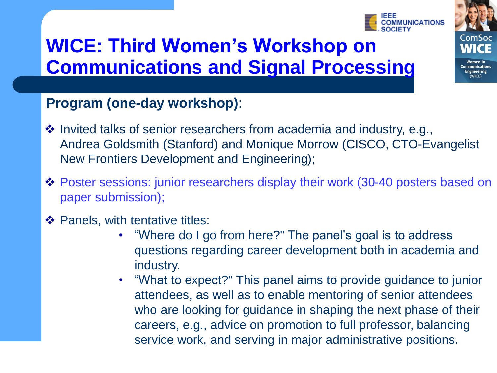### **WICE: Third Women's Workshop on Communications and Signal Processing**



- $\cdot$  Invited talks of senior researchers from academia and industry, e.g., Andrea Goldsmith (Stanford) and Monique Morrow (CISCO, CTO-Evangelist New Frontiers Development and Engineering);
- Poster sessions: junior researchers display their work (30-40 posters based on paper submission);
- ❖ Panels, with tentative titles:
	- "Where do I go from here?" The panel's goal is to address questions regarding career development both in academia and industry.
	- "What to expect?" This panel aims to provide guidance to junior attendees, as well as to enable mentoring of senior attendees who are looking for guidance in shaping the next phase of their careers, e.g., advice on promotion to full professor, balancing service work, and serving in major administrative positions.



**Communications Engineering**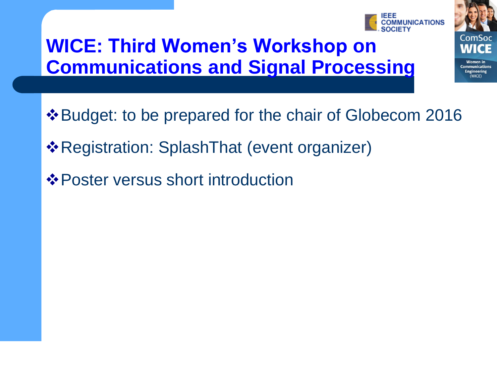### **WICE: Third Women's Workshop on Communications and Signal Processing**

- Budget: to be prepared for the chair of Globecom 2016
- Registration: SplashThat (event organizer)
- Poster versus short introduction



Women ir **Communications Ingineering**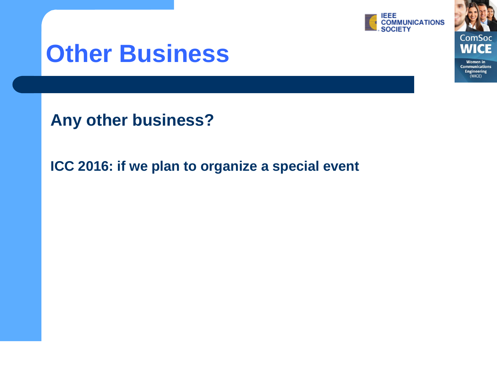

ComSoc W

**Women** in **Communications Engineering**  $(WICE)$ 

### **Other Business**

**Any other business?**

**ICC 2016: if we plan to organize a special event**